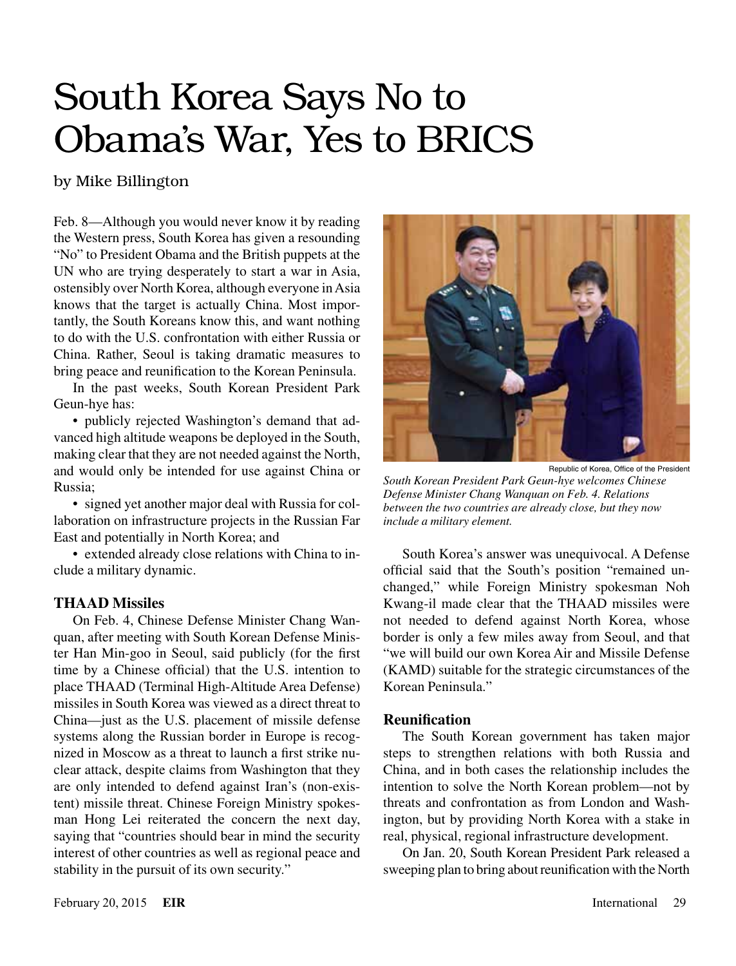# South Korea Says No to Obama's War, Yes to BRICS

## by Mike Billington

Feb. 8—Although you would never know it by reading the Western press, South Korea has given a resounding "No" to President Obama and the British puppets at the UN who are trying desperately to start a war in Asia, ostensibly over North Korea, although everyone in Asia knows that the target is actually China. Most importantly, the South Koreans know this, and want nothing to do with the U.S. confrontation with either Russia or China. Rather, Seoul is taking dramatic measures to bring peace and reunification to the Korean Peninsula.

In the past weeks, South Korean President Park Geun-hye has:

• publicly rejected Washington's demand that advanced high altitude weapons be deployed in the South, making clear that they are not needed against the North, and would only be intended for use against China or Russia;

• signed yet another major deal with Russia for collaboration on infrastructure projects in the Russian Far East and potentially in North Korea; and

• extended already close relations with China to include a military dynamic.

#### **THAAD Missiles**

On Feb. 4, Chinese Defense Minister Chang Wanquan, after meeting with South Korean Defense Minister Han Min-goo in Seoul, said publicly (for the first time by a Chinese official) that the U.S. intention to place THAAD (Terminal High-Altitude Area Defense) missiles in South Korea was viewed as a direct threat to China—just as the U.S. placement of missile defense systems along the Russian border in Europe is recognized in Moscow as a threat to launch a first strike nuclear attack, despite claims from Washington that they are only intended to defend against Iran's (non-existent) missile threat. Chinese Foreign Ministry spokesman Hong Lei reiterated the concern the next day, saying that "countries should bear in mind the security interest of other countries as well as regional peace and stability in the pursuit of its own security."



Republic of Korea, Office of the President *South Korean President Park Geun-hye welcomes Chinese Defense Minister Chang Wanquan on Feb. 4. Relations between the two countries are already close, but they now include a military element.*

South Korea's answer was unequivocal. A Defense official said that the South's position "remained unchanged," while Foreign Ministry spokesman Noh Kwang-il made clear that the THAAD missiles were not needed to defend against North Korea, whose border is only a few miles away from Seoul, and that "we will build our own Korea Air and Missile Defense (KAMD) suitable for the strategic circumstances of the Korean Peninsula."

#### **Reunification**

The South Korean government has taken major steps to strengthen relations with both Russia and China, and in both cases the relationship includes the intention to solve the North Korean problem—not by threats and confrontation as from London and Washington, but by providing North Korea with a stake in real, physical, regional infrastructure development.

On Jan. 20, South Korean President Park released a sweeping plan to bring about reunification with the North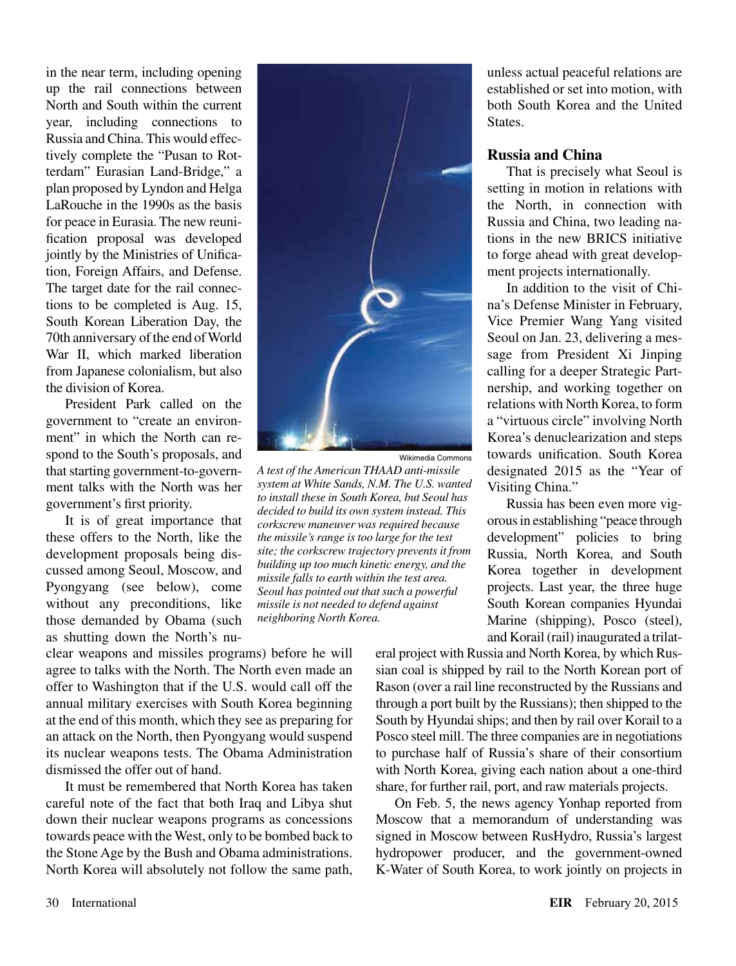in the near term, including opening up the rail connections between North and South within the current year, including connections to Russia and China. This would effectively complete the "Pusan to Rotterdam" Eurasian Land-Bridge," a plan proposed by Lyndon and Helga LaRouche in the 1990s as the basis for peace in Eurasia. The new reunification proposal was developed jointly by the Ministries of Unification, Foreign Affairs, and Defense. The target date for the rail connections to be completed is Aug. 15, South Korean Liberation Day, the 70th anniversary of the end of World War II, which marked liberation from Japanese colonialism, but also the division of Korea.

President Park called on the government to "create an environment" in which the North can respond to the South's proposals, and that starting government-to-government talks with the North was her government's first priority.

It is of great importance that these offers to the North, like the development proposals being discussed among Seoul, Moscow, and Pyongyang (see below), come without any preconditions, like those demanded by Obama (such as shutting down the North's nu-

clear weapons and missiles programs) before he will agree to talks with the North. The North even made an offer to Washington that if the U.S. would call off the annual military exercises with South Korea beginning at the end of this month, which they see as preparing for an attack on the North, then Pyongyang would suspend its nuclear weapons tests. The Obama Administration dismissed the offer out of hand.

It must be remembered that North Korea has taken careful note of the fact that both Iraq and Libya shut down their nuclear weapons programs as concessions towards peace with the West, only to be bombed back to the Stone Age by the Bush and Obama administrations. North Korea will absolutely not follow the same path,



Wikimedia Commons

*A test of the American THAAD anti-missile system at White Sands, N.M. The U.S. wanted to install these in South Korea, but Seoul has decided to build its own system instead. This corkscrew maneuver was required because the missile's range is too large for the test site; the corkscrew trajectory prevents it from building up too much kinetic energy, and the missile falls to earth within the test area. Seoul has pointed out that such a powerful missile is not needed to defend against neighboring North Korea.*

unless actual peaceful relations are established or set into motion, with both South Korea and the United States.

#### **Russia and China**

That is precisely what Seoul is setting in motion in relations with the North, in connection with Russia and China, two leading nations in the new BRICS initiative to forge ahead with great development projects internationally.

In addition to the visit of China's Defense Minister in February, Vice Premier Wang Yang visited Seoul on Jan. 23, delivering a message from President Xi Jinping calling for a deeper Strategic Partnership, and working together on relations with North Korea, to form a "virtuous circle" involving North Korea's denuclearization and steps towards unification. South Korea designated 2015 as the "Year of Visiting China."

Russia has been even more vigorous in establishing "peace through development" policies to bring Russia, North Korea, and South Korea together in development projects. Last year, the three huge South Korean companies Hyundai Marine (shipping), Posco (steel), and Korail (rail) inaugurated a trilat-

eral project with Russia and North Korea, by which Russian coal is shipped by rail to the North Korean port of Rason (over a rail line reconstructed by the Russians and through a port built by the Russians); then shipped to the South by Hyundai ships; and then by rail over Korail to a Posco steel mill. The three companies are in negotiations to purchase half of Russia's share of their consortium with North Korea, giving each nation about a one-third share, for further rail, port, and raw materials projects.

On Feb. 5, the news agency Yonhap reported from Moscow that a memorandum of understanding was signed in Moscow between RusHydro, Russia's largest hydropower producer, and the government-owned K-Water of South Korea, to work jointly on projects in